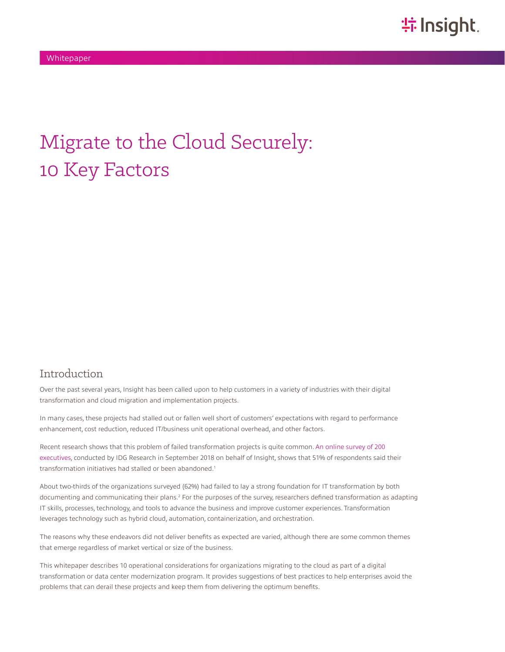# Migrate to the Cloud Securely: 10 Key Factors

#### Introduction

Over the past several years, Insight has been called upon to help customers in a variety of industries with their digital transformation and cloud migration and implementation projects.

In many cases, these projects had stalled out or fallen well short of customers' expectations with regard to performance enhancement, cost reduction, reduced IT/business unit operational overhead, and other factors.

Recent research shows that this problem of failed transformation projects is quite common. [An online survey of 200](http://solutions.insight.com/getattachment/e33448e6-5342-443d-8506-0fdd70ffc54a/IT-in-Transition-How-IT-Leaders-Are-Faring.aspx)  [executives](http://solutions.insight.com/getattachment/e33448e6-5342-443d-8506-0fdd70ffc54a/IT-in-Transition-How-IT-Leaders-Are-Faring.aspx), conducted by IDG Research in September 2018 on behalf of Insight, shows that 51% of respondents said their transformation initiatives had stalled or been abandoned.<sup>1</sup>

About two-thirds of the organizations surveyed (62%) had failed to lay a strong foundation for IT transformation by both documenting and communicating their plans.<sup>2</sup> For the purposes of the survey, researchers defined transformation as adapting IT skills, processes, technology, and tools to advance the business and improve customer experiences. Transformation leverages technology such as hybrid cloud, automation, containerization, and orchestration.

The reasons why these endeavors did not deliver benefits as expected are varied, although there are some common themes that emerge regardless of market vertical or size of the business.

This whitepaper describes 10 operational considerations for organizations migrating to the cloud as part of a digital transformation or data center modernization program. It provides suggestions of best practices to help enterprises avoid the problems that can derail these projects and keep them from delivering the optimum benefits.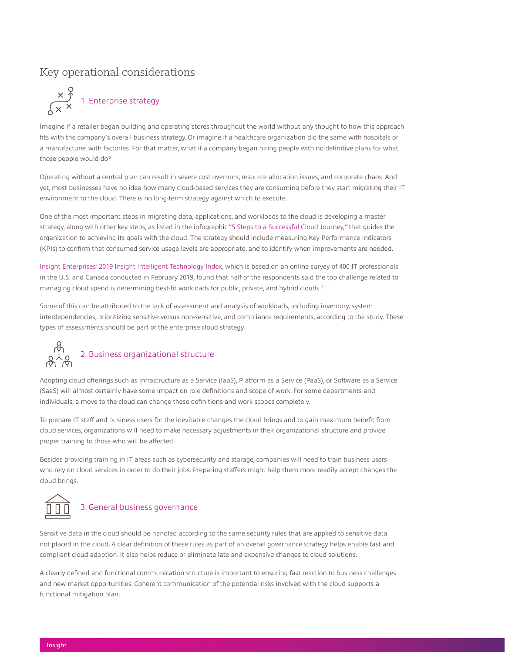### Key operational considerations



Imagine if a retailer began building and operating stores throughout the world without any thought to how this approach fits with the company's overall business strategy. Or imagine if a healthcare organization did the same with hospitals or a manufacturer with factories. For that matter, what if a company began hiring people with no definitive plans for what those people would do?

Operating without a central plan can result in severe cost overruns, resource allocation issues, and corporate chaos. And yet, most businesses have no idea how many cloud-based services they are consuming before they start migrating their IT environment to the cloud. There is no long-term strategy against which to execute.

One of the most important steps in migrating data, applications, and workloads to the cloud is developing a master strategy, along with other key steps, as listed in the infographic ["5 Steps to a Successful Cloud Journey](https://solutions.insight.com/getattachment/746d05a4-7b30-49ce-9fbb-a4e4d60e273f/5-Steps-to-Cloud-Success-infographic.aspx)," that guides the organization to achieving its goals with the cloud. The strategy should include measuring Key Performance Indicators (KPIs) to confirm that consumed service usage levels are appropriate, and to identify when improvements are needed.

[Insight Enterprises' 2019 Insight Intelligent Technology Index](https://www.insight.com/en_US/learn/content/gated/2019-intelligent-technology-index-ac1175.html), which is based on an online survey of 400 IT professionals in the U.S. and Canada conducted in February 2019, found that half of the respondents said the top challenge related to managing cloud spend is determining best-fit workloads for public, private, and hybrid clouds.<sup>3</sup>

Some of this can be attributed to the lack of assessment and analysis of workloads, including inventory, system interdependencies, prioritizing sensitive versus non-sensitive, and compliance requirements, according to the study. These types of assessments should be part of the enterprise cloud strategy.



### 2. Business organizational structure

Adopting cloud offerings such as Infrastructure as a Service (IaaS), Platform as a Service (PaaS), or Software as a Service (SaaS) will almost certainly have some impact on role definitions and scope of work. For some departments and individuals, a move to the cloud can change these definitions and work scopes completely.

To prepare IT staff and business users for the inevitable changes the cloud brings and to gain maximum benefit from cloud services, organizations will need to make necessary adjustments in their organizational structure and provide proper training to those who will be affected.

Besides providing training in IT areas such as cybersecurity and storage, companies will need to train business users who rely on cloud services in order to do their jobs. Preparing staffers might help them more readily accept changes the cloud brings.



#### 3. General business governance

Sensitive data in the cloud should be handled according to the same security rules that are applied to sensitive data not placed in the cloud. A clear definition of these rules as part of an overall governance strategy helps enable fast and compliant cloud adoption. It also helps reduce or eliminate late and expensive changes to cloud solutions.

A clearly defined and functional communication structure is important to ensuring fast reaction to business challenges and new market opportunities. Coherent communication of the potential risks involved with the cloud supports a functional mitigation plan.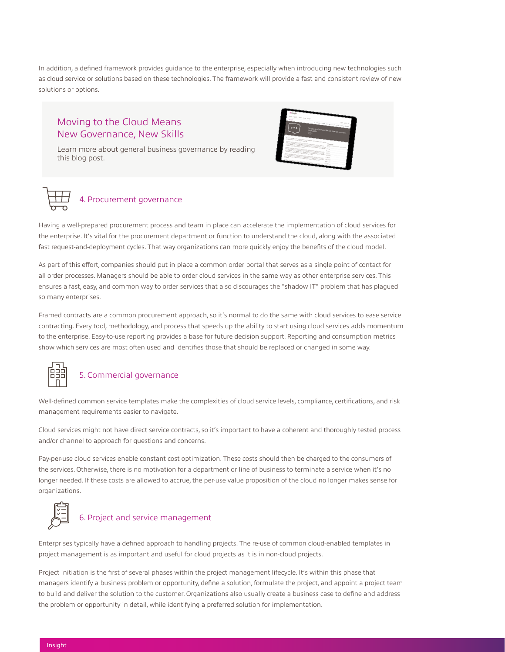In addition, a defined framework provides guidance to the enterprise, especially when introducing new technologies such as cloud service or solutions based on these technologies. The framework will provide a fast and consistent review of new solutions or options.

#### Moving to the Cloud Means New Governance, New Skills

[Learn more about general business governance by reading](https://solutions.insight.com/CDCT-Blog/July-2018/Moving-to-the-Cloud-Means-New-Governance-New-Skil)  this blog post.





Having a well-prepared procurement process and team in place can accelerate the implementation of cloud services for the enterprise. It's vital for the procurement department or function to understand the cloud, along with the associated fast request-and-deployment cycles. That way organizations can more quickly enjoy the benefits of the cloud model.

As part of this effort, companies should put in place a common order portal that serves as a single point of contact for all order processes. Managers should be able to order cloud services in the same way as other enterprise services. This ensures a fast, easy, and common way to order services that also discourages the "shadow IT" problem that has plagued so many enterprises.

Framed contracts are a common procurement approach, so it's normal to do the same with cloud services to ease service contracting. Every tool, methodology, and process that speeds up the ability to start using cloud services adds momentum to the enterprise. Easy-to-use reporting provides a base for future decision support. Reporting and consumption metrics show which services are most often used and identifies those that should be replaced or changed in some way.



#### 5. Commercial governance

Well-defined common service templates make the complexities of cloud service levels, compliance, certifications, and risk management requirements easier to navigate.

Cloud services might not have direct service contracts, so it's important to have a coherent and thoroughly tested process and/or channel to approach for questions and concerns.

Pay-per-use cloud services enable constant cost optimization. These costs should then be charged to the consumers of the services. Otherwise, there is no motivation for a department or line of business to terminate a service when it's no longer needed. If these costs are allowed to accrue, the per-use value proposition of the cloud no longer makes sense for organizations.



## 6. Project and service management

Enterprises typically have a defined approach to handling projects. The re-use of common cloud-enabled templates in project management is as important and useful for cloud projects as it is in non-cloud projects.

Project initiation is the first of several phases within the project management lifecycle. It's within this phase that managers identify a business problem or opportunity, define a solution, formulate the project, and appoint a project team to build and deliver the solution to the customer. Organizations also usually create a business case to define and address the problem or opportunity in detail, while identifying a preferred solution for implementation.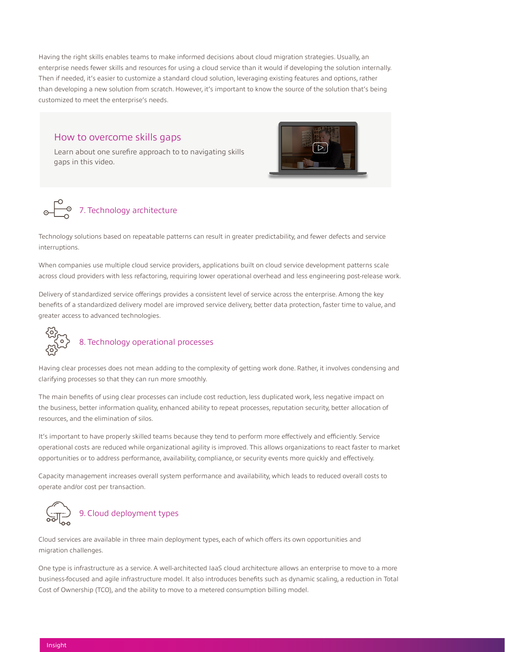Having the right skills enables teams to make informed decisions about cloud migration strategies. Usually, an enterprise needs fewer skills and resources for using a cloud service than it would if developing the solution internally. Then if needed, it's easier to customize a standard cloud solution, leveraging existing features and options, rather than developing a new solution from scratch. However, it's important to know the source of the solution that's being customized to meet the enterprise's needs.

#### How to overcome skills gaps

[Learn about one surefire approach to to navigating skills](https://www.youtube.com/watch?v=AZWXqdynqpQ&feature=youtu.be)  gaps in this video.





Technology solutions based on repeatable patterns can result in greater predictability, and fewer defects and service interruptions.

When companies use multiple cloud service providers, applications built on cloud service development patterns scale across cloud providers with less refactoring, requiring lower operational overhead and less engineering post-release work.

Delivery of standardized service offerings provides a consistent level of service across the enterprise. Among the key benefits of a standardized delivery model are improved service delivery, better data protection, faster time to value, and greater access to advanced technologies.



## 8. Technology operational processes

Having clear processes does not mean adding to the complexity of getting work done. Rather, it involves condensing and clarifying processes so that they can run more smoothly.

The main benefits of using clear processes can include cost reduction, less duplicated work, less negative impact on the business, better information quality, enhanced ability to repeat processes, reputation security, better allocation of resources, and the elimination of silos.

It's important to have properly skilled teams because they tend to perform more effectively and efficiently. Service operational costs are reduced while organizational agility is improved. This allows organizations to react faster to market opportunities or to address performance, availability, compliance, or security events more quickly and effectively.

Capacity management increases overall system performance and availability, which leads to reduced overall costs to operate and/or cost per transaction.



Cloud services are available in three main deployment types, each of which offers its own opportunities and migration challenges.

One type is infrastructure as a service. A well-architected IaaS cloud architecture allows an enterprise to move to a more business-focused and agile infrastructure model. It also introduces benefits such as dynamic scaling, a reduction in Total Cost of Ownership (TCO), and the ability to move to a metered consumption billing model.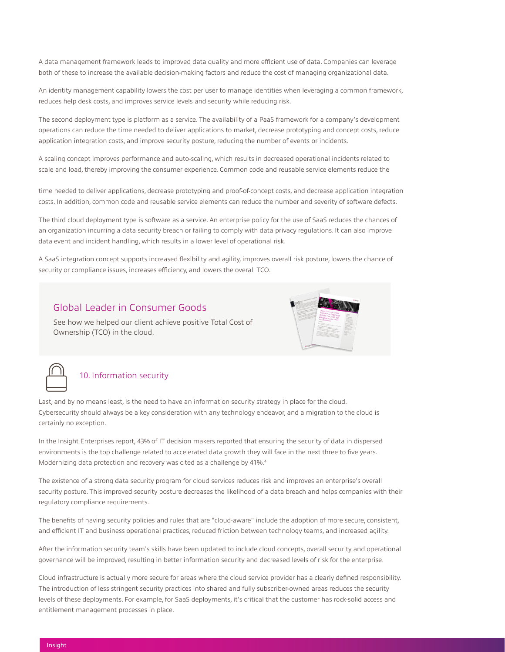A data management framework leads to improved data quality and more efficient use of data. Companies can leverage both of these to increase the available decision-making factors and reduce the cost of managing organizational data.

An identity management capability lowers the cost per user to manage identities when leveraging a common framework, reduces help desk costs, and improves service levels and security while reducing risk.

The second deployment type is platform as a service. The availability of a PaaS framework for a company's development operations can reduce the time needed to deliver applications to market, decrease prototyping and concept costs, reduce application integration costs, and improve security posture, reducing the number of events or incidents.

A scaling concept improves performance and auto-scaling, which results in decreased operational incidents related to scale and load, thereby improving the consumer experience. Common code and reusable service elements reduce the

time needed to deliver applications, decrease prototyping and proof-of-concept costs, and decrease application integration costs. In addition, common code and reusable service elements can reduce the number and severity of software defects.

The third cloud deployment type is software as a service. An enterprise policy for the use of SaaS reduces the chances of an organization incurring a data security breach or failing to comply with data privacy regulations. It can also improve data event and incident handling, which results in a lower level of operational risk.

A SaaS integration concept supports increased flexibility and agility, improves overall risk posture, lowers the chance of security or compliance issues, increases efficiency, and lowers the overall TCO.

#### [Global Leader in Consumer Goods](https://solutions.insight.com/getattachment/936c53bd-35e9-4689-9636-ac2d015d266c/Global-Consumer-Goods-Manufacturer.aspx)

See how we helped our client achieve positive Total Cost of Ownership (TCO) in the cloud.



#### 10. Information security

Last, and by no means least, is the need to have an information security strategy in place for the cloud. Cybersecurity should always be a key consideration with any technology endeavor, and a migration to the cloud is certainly no exception.

In the Insight Enterprises report, 43% of IT decision makers reported that ensuring the security of data in dispersed environments is the top challenge related to accelerated data growth they will face in the next three to five years. Modernizing data protection and recovery was cited as a challenge by 41%.4

The existence of a strong data security program for cloud services reduces risk and improves an enterprise's overall security posture. This improved security posture decreases the likelihood of a data breach and helps companies with their regulatory compliance requirements.

The benefits of having security policies and rules that are "cloud-aware" include the adoption of more secure, consistent, and efficient IT and business operational practices, reduced friction between technology teams, and increased agility.

After the information security team's skills have been updated to include cloud concepts, overall security and operational governance will be improved, resulting in better information security and decreased levels of risk for the enterprise.

Cloud infrastructure is actually more secure for areas where the cloud service provider has a clearly defined responsibility. The introduction of less stringent security practices into shared and fully subscriber-owned areas reduces the security levels of these deployments. For example, for SaaS deployments, it's critical that the customer has rock-solid access and entitlement management processes in place.